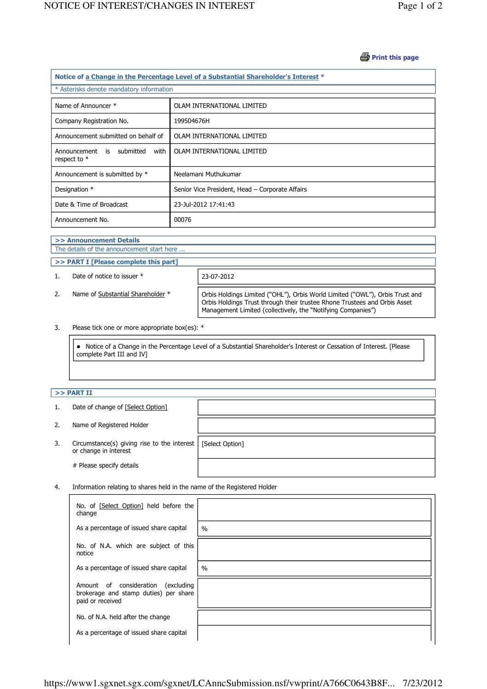## **B** Print this page

| Notice of a Change in the Percentage Level of a Substantial Shareholder's Interest * |                                                 |  |  |  |  |
|--------------------------------------------------------------------------------------|-------------------------------------------------|--|--|--|--|
| * Asterisks denote mandatory information                                             |                                                 |  |  |  |  |
| Name of Announcer *                                                                  | OLAM INTERNATIONAL LIMITED                      |  |  |  |  |
| Company Registration No.                                                             | 199504676H                                      |  |  |  |  |
| Announcement submitted on behalf of                                                  | OLAM INTERNATIONAL LIMITED                      |  |  |  |  |
| Announcement is submitted<br>with<br>respect to $*$                                  | OLAM INTERNATIONAL LIMITED                      |  |  |  |  |
| Announcement is submitted by *                                                       | Neelamani Muthukumar                            |  |  |  |  |
| Designation *                                                                        | Senior Vice President, Head - Corporate Affairs |  |  |  |  |
| Date & Time of Broadcast                                                             | 23-Jul-2012 17:41:43                            |  |  |  |  |
| Announcement No.                                                                     | 00076                                           |  |  |  |  |

## >> Announcement Details The details of the announcement start here ... >> PART I [Please complete this part] 1. Date of notice to issuer \* 23-07-2012 2. Name of Substantial Shareholder \* | Orbis Holdings Limited ("OHL"), Orbis World Limited ("OWL"), Orbis Trust and Orbis Holdings Trust through their trustee Rhone Trustees and Orbis Asset Management Limited (collectively, the "Notifying Companies")

3. Please tick one or more appropriate box(es): \*

 Notice of a Change in the Percentage Level of a Substantial Shareholder's Interest or Cessation of Interest. [Please complete Part III and IV]

## $>>$  PART II

j

J ï

| 1. | Date of change of [Select Option]                                    |                 |
|----|----------------------------------------------------------------------|-----------------|
| 2. | Name of Registered Holder                                            |                 |
| 3. | Circumstance(s) giving rise to the interest<br>or change in interest | [Select Option] |
|    | # Please specify details                                             |                 |

4. Information relating to shares held in the name of the Registered Holder

| No. of [Select Option] held before the<br>change                                                   |               |
|----------------------------------------------------------------------------------------------------|---------------|
| As a percentage of issued share capital                                                            | $\frac{0}{0}$ |
| No. of N.A. which are subject of this<br>notice                                                    |               |
| As a percentage of issued share capital                                                            | $\frac{0}{0}$ |
| Amount of consideration<br>(excluding<br>brokerage and stamp duties) per share<br>paid or received |               |
| No. of N.A. held after the change                                                                  |               |
| As a percentage of issued share capital                                                            |               |